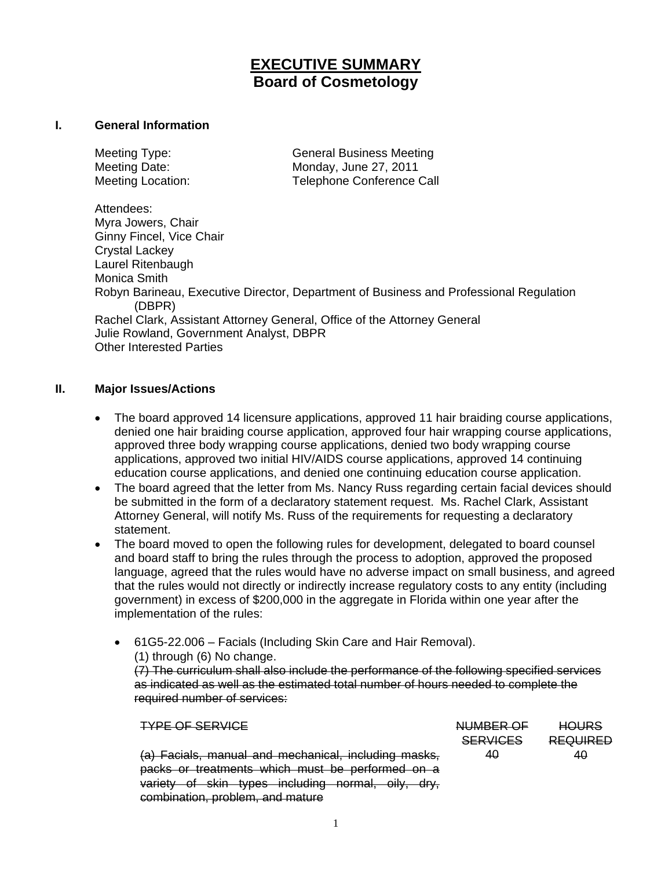# **EXECUTIVE SUMMARY Board of Cosmetology**

#### **I. General Information**

Meeting Type: General Business Meeting Meeting Date: Monday, June 27, 2011 Meeting Location: Telephone Conference Call

Attendees: Myra Jowers, Chair Ginny Fincel, Vice Chair Crystal Lackey Laurel Ritenbaugh Monica Smith Robyn Barineau, Executive Director, Department of Business and Professional Regulation (DBPR) Rachel Clark, Assistant Attorney General, Office of the Attorney General Julie Rowland, Government Analyst, DBPR Other Interested Parties

### **II. Major Issues/Actions**

- The board approved 14 licensure applications, approved 11 hair braiding course applications, denied one hair braiding course application, approved four hair wrapping course applications, approved three body wrapping course applications, denied two body wrapping course applications, approved two initial HIV/AIDS course applications, approved 14 continuing education course applications, and denied one continuing education course application.
- The board agreed that the letter from Ms. Nancy Russ regarding certain facial devices should be submitted in the form of a declaratory statement request. Ms. Rachel Clark, Assistant Attorney General, will notify Ms. Russ of the requirements for requesting a declaratory statement.
- The board moved to open the following rules for development, delegated to board counsel and board staff to bring the rules through the process to adoption, approved the proposed language, agreed that the rules would have no adverse impact on small business, and agreed that the rules would not directly or indirectly increase regulatory costs to any entity (including government) in excess of \$200,000 in the aggregate in Florida within one year after the implementation of the rules:
	- 61G5-22.006 Facials (Including Skin Care and Hair Removal). (1) through (6) No change. (7) The curriculum shall also include the performance of the following specified services as indicated as well as the estimated total number of hours needed to complete the required number of services:

|                                                                                | <b>SERVICES</b> | <b>REQUIRED</b> |
|--------------------------------------------------------------------------------|-----------------|-----------------|
| (a) Facials, manual and mechanical, including masks,                           | 40              | 40              |
| packs or treatments which must be performed on a                               |                 |                 |
| variety of skin types including normal, oily, dry,                             |                 |                 |
| combination problem and mature<br><del>compliation, propioni, and mature</del> |                 |                 |

**HOLIRS** 

TYPE OF SERVICE NUMBER OF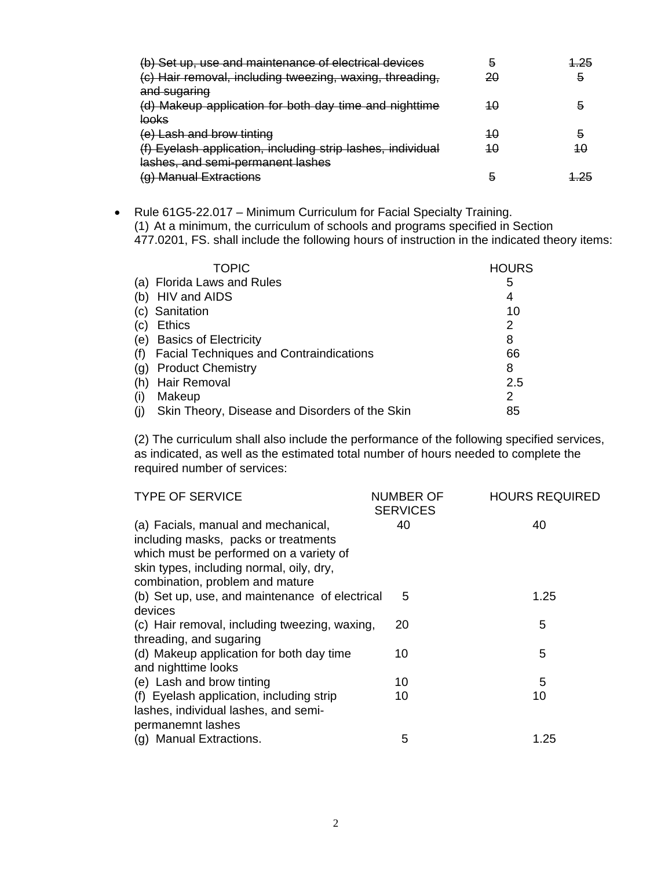| (b) Set up, use and maintenance of electrical devices       | b  | 1.25 |
|-------------------------------------------------------------|----|------|
| (c) Hair removal, including tweezing, waxing, threading,    | 20 | 5    |
| and sugaring                                                |    |      |
| (d) Makeup application for both day time and nighttime      | 40 | ā    |
| <u>looks</u>                                                |    |      |
| <del>(e) Lash and brow tinting</del>                        | 40 | 5    |
| (f) Eyelash application, including strip lashes, individual | 40 | 10   |
| lashes, and semi-permanent lashes                           |    |      |
| (g) Manual Extractions                                      |    |      |

• Rule 61G5-22.017 – Minimum Curriculum for Facial Specialty Training. (1) At a minimum, the curriculum of schools and programs specified in Section 477.0201, FS. shall include the following hours of instruction in the indicated theory items:

| <b>TOPIC</b>                                   | <b>HOURS</b> |
|------------------------------------------------|--------------|
| (a) Florida Laws and Rules                     | 5            |
| (b) HIV and AIDS                               | 4            |
| (c) Sanitation                                 | 10           |
| <b>Ethics</b><br>(C)                           | 2            |
| <b>Basics of Electricity</b><br>(e)            | 8            |
| <b>Facial Techniques and Contraindications</b> | 66           |
| <b>Product Chemistry</b><br>(Q)                | 8            |
| Hair Removal<br>(h)                            | 2.5          |
| Makeup<br>(۱)                                  | 2            |
| Skin Theory, Disease and Disorders of the Skin | 85           |

(2) The curriculum shall also include the performance of the following specified services, as indicated, as well as the estimated total number of hours needed to complete the required number of services:

| <b>TYPE OF SERVICE</b>                         | NUMBER OF       | <b>HOURS REQUIRED</b> |
|------------------------------------------------|-----------------|-----------------------|
|                                                | <b>SERVICES</b> |                       |
| (a) Facials, manual and mechanical,            | 40              | 40                    |
| including masks, packs or treatments           |                 |                       |
| which must be performed on a variety of        |                 |                       |
| skin types, including normal, oily, dry,       |                 |                       |
| combination, problem and mature                |                 |                       |
| (b) Set up, use, and maintenance of electrical | 5               | 1.25                  |
| devices                                        |                 |                       |
| (c) Hair removal, including tweezing, waxing,  | 20              | 5                     |
| threading, and sugaring                        |                 |                       |
| (d) Makeup application for both day time       | 10              | 5                     |
| and nighttime looks                            |                 |                       |
| (e) Lash and brow tinting                      | 10              | 5                     |
| (f) Eyelash application, including strip       | 10              | 10                    |
| lashes, individual lashes, and semi-           |                 |                       |
| permanemnt lashes                              |                 |                       |
| (g) Manual Extractions.                        | 5               | 1.25                  |
|                                                |                 |                       |